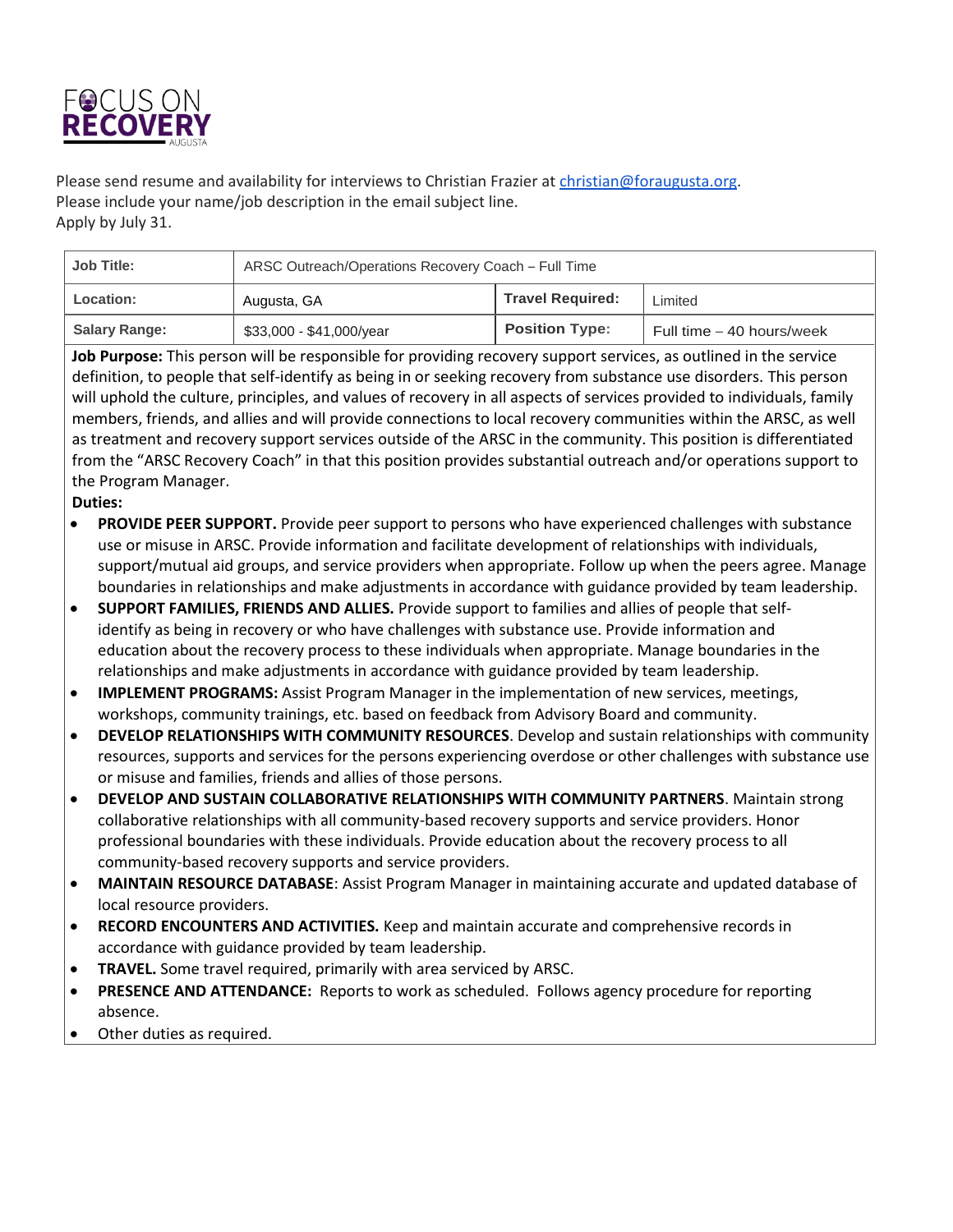

Please send resume and availability for interviews to Christian Frazier at [christian@foraugusta.org.](mailto:christian@foraugusta.org) Please include your name/job description in the email subject line. Apply by July 31.

| <b>Job Title:</b>    | ARSC Outreach/Operations Recovery Coach - Full Time |                         |                           |
|----------------------|-----------------------------------------------------|-------------------------|---------------------------|
| <b>Location:</b>     | Augusta, GA                                         | <b>Travel Required:</b> | ∟imited                   |
| <b>Salary Range:</b> | \$33,000 - \$41,000/year                            | <b>Position Type:</b>   | Full time – 40 hours/week |

**Job Purpose:** This person will be responsible for providing recovery support services, as outlined in the service definition, to people that self-identify as being in or seeking recovery from substance use disorders. This person will uphold the culture, principles, and values of recovery in all aspects of services provided to individuals, family members, friends, and allies and will provide connections to local recovery communities within the ARSC, as well as treatment and recovery support services outside of the ARSC in the community. This position is differentiated from the "ARSC Recovery Coach" in that this position provides substantial outreach and/or operations support to the Program Manager.

## **Duties:**

- **PROVIDE PEER SUPPORT.** Provide peer support to persons who have experienced challenges with substance use or misuse in ARSC. Provide information and facilitate development of relationships with individuals, support/mutual aid groups, and service providers when appropriate. Follow up when the peers agree. Manage boundaries in relationships and make adjustments in accordance with guidance provided by team leadership.
- **SUPPORT FAMILIES, FRIENDS AND ALLIES.** Provide support to families and allies of people that selfidentify as being in recovery or who have challenges with substance use. Provide information and education about the recovery process to these individuals when appropriate. Manage boundaries in the relationships and make adjustments in accordance with guidance provided by team leadership.
- **IMPLEMENT PROGRAMS:** Assist Program Manager in the implementation of new services, meetings, workshops, community trainings, etc. based on feedback from Advisory Board and community.
- **DEVELOP RELATIONSHIPS WITH COMMUNITY RESOURCES**. Develop and sustain relationships with community resources, supports and services for the persons experiencing overdose or other challenges with substance use or misuse and families, friends and allies of those persons.
- **DEVELOP AND SUSTAIN COLLABORATIVE RELATIONSHIPS WITH COMMUNITY PARTNERS**. Maintain strong collaborative relationships with all community-based recovery supports and service providers. Honor professional boundaries with these individuals. Provide education about the recovery process to all community-based recovery supports and service providers.
- **MAINTAIN RESOURCE DATABASE**: Assist Program Manager in maintaining accurate and updated database of local resource providers.
- **RECORD ENCOUNTERS AND ACTIVITIES.** Keep and maintain accurate and comprehensive records in accordance with guidance provided by team leadership.
- **TRAVEL.** Some travel required, primarily with area serviced by ARSC.
- **PRESENCE AND ATTENDANCE:** Reports to work as scheduled. Follows agency procedure for reporting absence.
- Other duties as required.